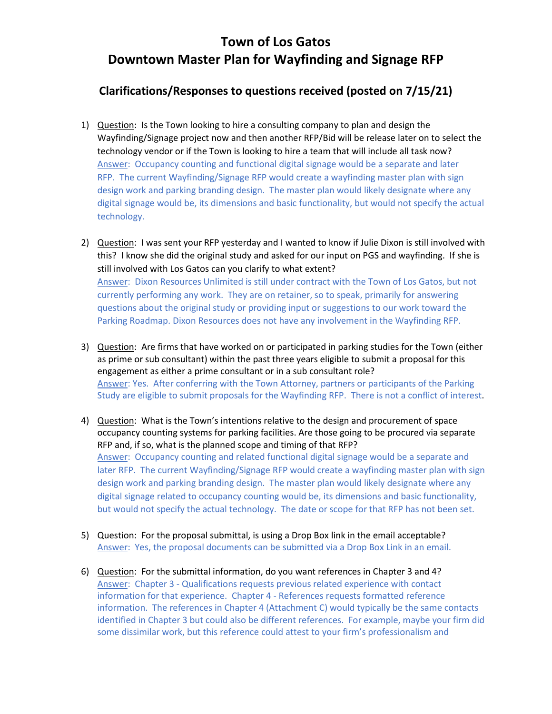## **Clarifications/Responses to questions received (posted on 7/15/21)**

- 1) Question: Is the Town looking to hire a consulting company to plan and design the Wayfinding/Signage project now and then another RFP/Bid will be release later on to select the technology vendor or if the Town is looking to hire a team that will include all task now? Answer: Occupancy counting and functional digital signage would be a separate and later RFP. The current Wayfinding/Signage RFP would create a wayfinding master plan with sign design work and parking branding design. The master plan would likely designate where any digital signage would be, its dimensions and basic functionality, but would not specify the actual technology.
- 2) Question: I was sent your RFP yesterday and I wanted to know if Julie Dixon is still involved with this? I know she did the original study and asked for our input on PGS and wayfinding. If she is still involved with Los Gatos can you clarify to what extent? Answer: Dixon Resources Unlimited is still under contract with the Town of Los Gatos, but not currently performing any work. They are on retainer, so to speak, primarily for answering questions about the original study or providing input or suggestions to our work toward the Parking Roadmap. Dixon Resources does not have any involvement in the Wayfinding RFP.
- 3) Question: Are firms that have worked on or participated in parking studies for the Town (either as prime or sub consultant) within the past three years eligible to submit a proposal for this engagement as either a prime consultant or in a sub consultant role? Answer: Yes. After conferring with the Town Attorney, partners or participants of the Parking Study are eligible to submit proposals for the Wayfinding RFP. There is not a conflict of interest.
- 4) Question: What is the Town's intentions relative to the design and procurement of space occupancy counting systems for parking facilities. Are those going to be procured via separate RFP and, if so, what is the planned scope and timing of that RFP? Answer: Occupancy counting and related functional digital signage would be a separate and later RFP. The current Wayfinding/Signage RFP would create a wayfinding master plan with sign design work and parking branding design. The master plan would likely designate where any digital signage related to occupancy counting would be, its dimensions and basic functionality, but would not specify the actual technology. The date or scope for that RFP has not been set.
- 5) Question: For the proposal submittal, is using a Drop Box link in the email acceptable? Answer: Yes, the proposal documents can be submitted via a Drop Box Link in an email.
- 6) Question: For the submittal information, do you want references in Chapter 3 and 4? Answer: Chapter 3 - Qualifications requests previous related experience with contact information for that experience. Chapter 4 - References requests formatted reference information. The references in Chapter 4 (Attachment C) would typically be the same contacts identified in Chapter 3 but could also be different references. For example, maybe your firm did some dissimilar work, but this reference could attest to your firm's professionalism and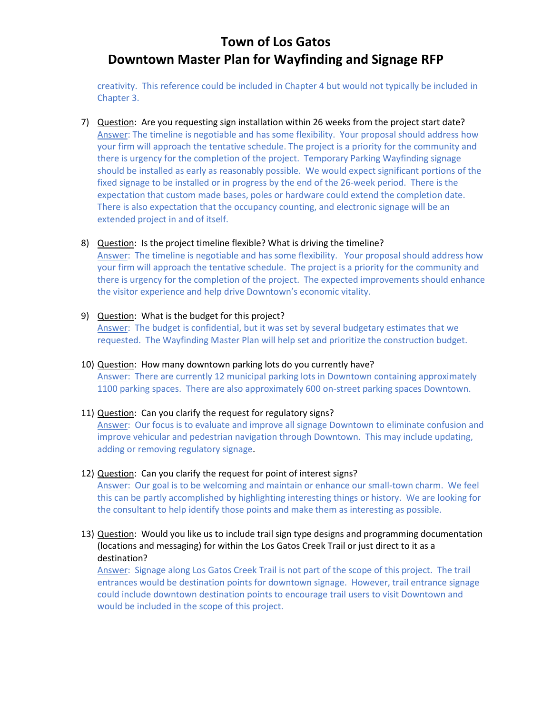creativity. This reference could be included in Chapter 4 but would not typically be included in Chapter 3.

7) Question: Are you requesting sign installation within 26 weeks from the project start date? Answer: The timeline is negotiable and has some flexibility. Your proposal should address how your firm will approach the tentative schedule. The project is a priority for the community and there is urgency for the completion of the project. Temporary Parking Wayfinding signage should be installed as early as reasonably possible. We would expect significant portions of the fixed signage to be installed or in progress by the end of the 26-week period. There is the expectation that custom made bases, poles or hardware could extend the completion date. There is also expectation that the occupancy counting, and electronic signage will be an extended project in and of itself.

### 8) Question: Is the project timeline flexible? What is driving the timeline?

Answer: The timeline is negotiable and has some flexibility. Your proposal should address how your firm will approach the tentative schedule. The project is a priority for the community and there is urgency for the completion of the project. The expected improvements should enhance the visitor experience and help drive Downtown's economic vitality.

- 9) Question: What is the budget for this project? Answer: The budget is confidential, but it was set by several budgetary estimates that we requested. The Wayfinding Master Plan will help set and prioritize the construction budget.
- 10) Question: How many downtown parking lots do you currently have? Answer: There are currently 12 municipal parking lots in Downtown containing approximately 1100 parking spaces. There are also approximately 600 on-street parking spaces Downtown.

### 11) Question: Can you clarify the request for regulatory signs?

Answer: Our focus is to evaluate and improve all signage Downtown to eliminate confusion and improve vehicular and pedestrian navigation through Downtown. This may include updating, adding or removing regulatory signage.

### 12) Question: Can you clarify the request for point of interest signs?

Answer: Our goal is to be welcoming and maintain or enhance our small-town charm. We feel this can be partly accomplished by highlighting interesting things or history. We are looking for the consultant to help identify those points and make them as interesting as possible.

### 13) Question: Would you like us to include trail sign type designs and programming documentation (locations and messaging) for within the Los Gatos Creek Trail or just direct to it as a destination?

Answer: Signage along Los Gatos Creek Trail is not part of the scope of this project. The trail entrances would be destination points for downtown signage. However, trail entrance signage could include downtown destination points to encourage trail users to visit Downtown and would be included in the scope of this project.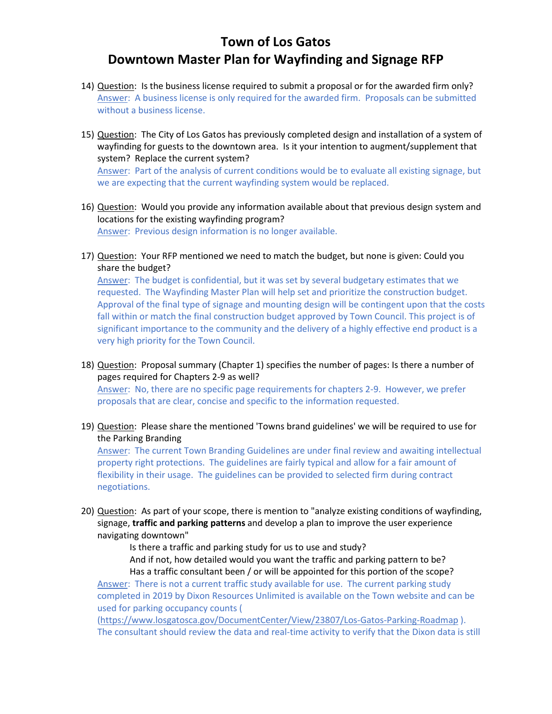- 14) Question: Is the business license required to submit a proposal or for the awarded firm only? Answer: A business license is only required for the awarded firm. Proposals can be submitted without a business license.
- 15) Question: The City of Los Gatos has previously completed design and installation of a system of wayfinding for guests to the downtown area. Is it your intention to augment/supplement that system? Replace the current system?

Answer: Part of the analysis of current conditions would be to evaluate all existing signage, but we are expecting that the current wayfinding system would be replaced.

- 16) Question: Would you provide any information available about that previous design system and locations for the existing wayfinding program? Answer: Previous design information is no longer available.
- 17) Question: Your RFP mentioned we need to match the budget, but none is given: Could you share the budget?

Answer: The budget is confidential, but it was set by several budgetary estimates that we requested. The Wayfinding Master Plan will help set and prioritize the construction budget. Approval of the final type of signage and mounting design will be contingent upon that the costs fall within or match the final construction budget approved by Town Council. This project is of significant importance to the community and the delivery of a highly effective end product is a very high priority for the Town Council.

18) Question: Proposal summary (Chapter 1) specifies the number of pages: Is there a number of pages required for Chapters 2-9 as well?

Answer: No, there are no specific page requirements for chapters 2-9. However, we prefer proposals that are clear, concise and specific to the information requested.

19) Question: Please share the mentioned 'Towns brand guidelines' we will be required to use for the Parking Branding

Answer: The current Town Branding Guidelines are under final review and awaiting intellectual property right protections. The guidelines are fairly typical and allow for a fair amount of flexibility in their usage. The guidelines can be provided to selected firm during contract negotiations.

20) Question: As part of your scope, there is mention to "analyze existing conditions of wayfinding, signage, **traffic and parking patterns** and develop a plan to improve the user experience navigating downtown"

Is there a traffic and parking study for us to use and study?

And if not, how detailed would you want the traffic and parking pattern to be? Has a traffic consultant been / or will be appointed for this portion of the scope?

Answer: There is not a current traffic study available for use. The current parking study completed in 2019 by Dixon Resources Unlimited is available on the Town website and can be used for parking occupancy counts (

[\(https://www.losgatosca.gov/DocumentCenter/View/23807/Los-Gatos-Parking-Roadmap](https://www.losgatosca.gov/DocumentCenter/View/23807/Los-Gatos-Parking-Roadmap) ). The consultant should review the data and real-time activity to verify that the Dixon data is still